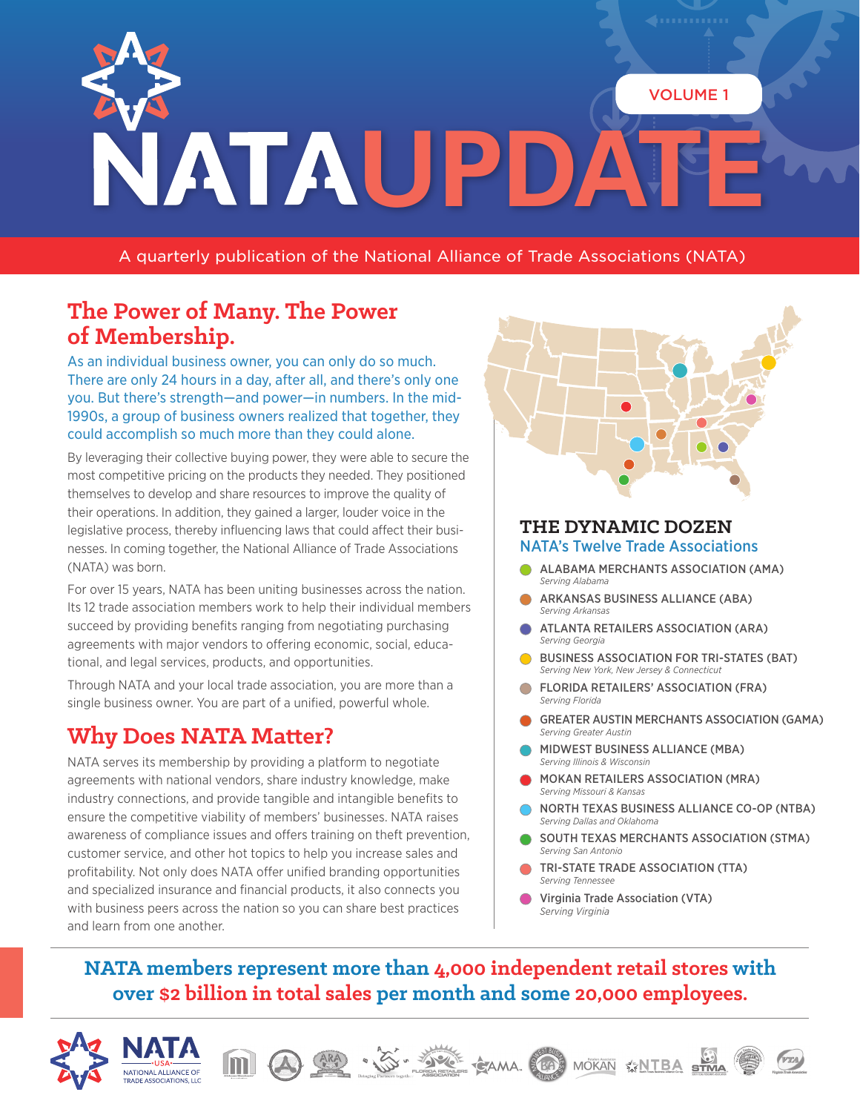

A quarterly publication of the National Alliance of Trade Associations (NATA)

# **The Power of Many. The Power of Membership.**

As an individual business owner, you can only do so much. There are only 24 hours in a day, after all, and there's only one you. But there's strength—and power—in numbers. In the mid-1990s, a group of business owners realized that together, they could accomplish so much more than they could alone.

By leveraging their collective buying power, they were able to secure the most competitive pricing on the products they needed. They positioned themselves to develop and share resources to improve the quality of their operations. In addition, they gained a larger, louder voice in the legislative process, thereby influencing laws that could affect their businesses. In coming together, the National Alliance of Trade Associations (NATA) was born.

For over 15 years, NATA has been uniting businesses across the nation. Its 12 trade association members work to help their individual members succeed by providing benefits ranging from negotiating purchasing agreements with major vendors to offering economic, social, educational, and legal services, products, and opportunities.

Through NATA and your local trade association, you are more than a single business owner. You are part of a unified, powerful whole.

## **Why Does NATA Matter?**

NATA serves its membership by providing a platform to negotiate agreements with national vendors, share industry knowledge, make industry connections, and provide tangible and intangible benefits to ensure the competitive viability of members' businesses. NATA raises awareness of compliance issues and offers training on theft prevention, customer service, and other hot topics to help you increase sales and profitability. Not only does NATA offer unified branding opportunities and specialized insurance and financial products, it also connects you with business peers across the nation so you can share best practices and learn from one another.



#### **THE DYNAMIC DOZEN** NATA's Twelve Trade Associations

- ALABAMA MERCHANTS ASSOCIATION (AMA) *Serving Alabama*
- ARKANSAS BUSINESS ALLIANCE (ABA) *Serving Arkansas*
- ATLANTA RETAILERS ASSOCIATION (ARA) *Serving Georgia*
- BUSINESS ASSOCIATION FOR TRI-STATES (BAT) *Serving New York, New Jersey & Connecticut*
- FLORIDA RETAILERS' ASSOCIATION (FRA) *Serving Florida*
- GREATER AUSTIN MERCHANTS ASSOCIATION (GAMA) *Serving Greater Austin*
- MIDWEST BUSINESS ALLIANCE (MBA) *Serving Illinois & Wisconsin*
- MOKAN RETAILERS ASSOCIATION (MRA) *Serving Missouri & Kansas*
- NORTH TEXAS BUSINESS ALLIANCE CO-OP (NTBA) *Serving Dallas and Oklahoma*
- SOUTH TEXAS MERCHANTS ASSOCIATION (STMA) *Serving San Antonio*
- TRI-STATE TRADE ASSOCIATION (TTA) *Serving Tennessee*

MOKAN **XNTBA** STMA

 Virginia Trade Association (VTA) *Serving Virginia*

### **NATA members represent more than 4,000 independent retail stores with over \$2 billion in total sales per month and some 20,000 employees.**

**SERNE CAMA REG** 



NATIONAL ALLIANCE OF